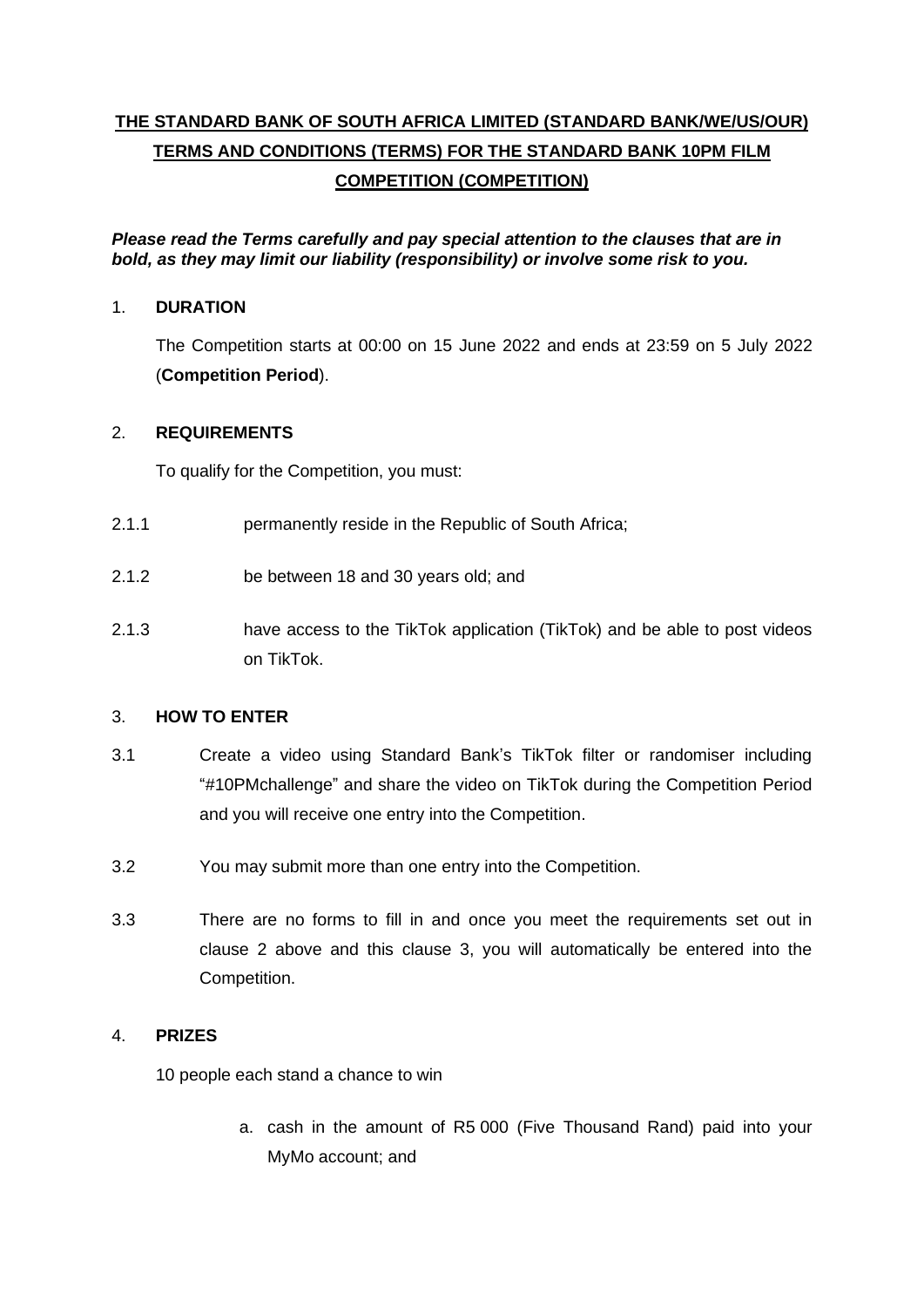# **THE STANDARD BANK OF SOUTH AFRICA LIMITED (STANDARD BANK/WE/US/OUR) TERMS AND CONDITIONS (TERMS) FOR THE STANDARD BANK 10PM FILM COMPETITION (COMPETITION)**

*Please read the Terms carefully and pay special attention to the clauses that are in bold, as they may limit our liability (responsibility) or involve some risk to you.*

#### 1. **DURATION**

The Competition starts at 00:00 on 15 June 2022 and ends at 23:59 on 5 July 2022 (**Competition Period**).

## <span id="page-0-0"></span>2. **REQUIREMENTS**

To qualify for the Competition, you must:

- 2.1.1 **permanently reside in the Republic of South Africa:**
- 2.1.2 be between 18 and 30 years old; and
- 2.1.3 have access to the TikTok application (TikTok) and be able to post videos on TikTok.

#### <span id="page-0-1"></span>3. **HOW TO ENTER**

- 3.1 Create a video using Standard Bank's TikTok filter or randomiser including "#10PMchallenge" and share the video on TikTok during the Competition Period and you will receive one entry into the Competition.
- 3.2 You may submit more than one entry into the Competition.
- 3.3 There are no forms to fill in and once you meet the requirements set out in clause [2](#page-0-0) above and this clause [3,](#page-0-1) you will automatically be entered into the Competition.

### 4. **PRIZES**

10 people each stand a chance to win

a. cash in the amount of R5 000 (Five Thousand Rand) paid into your MyMo account; and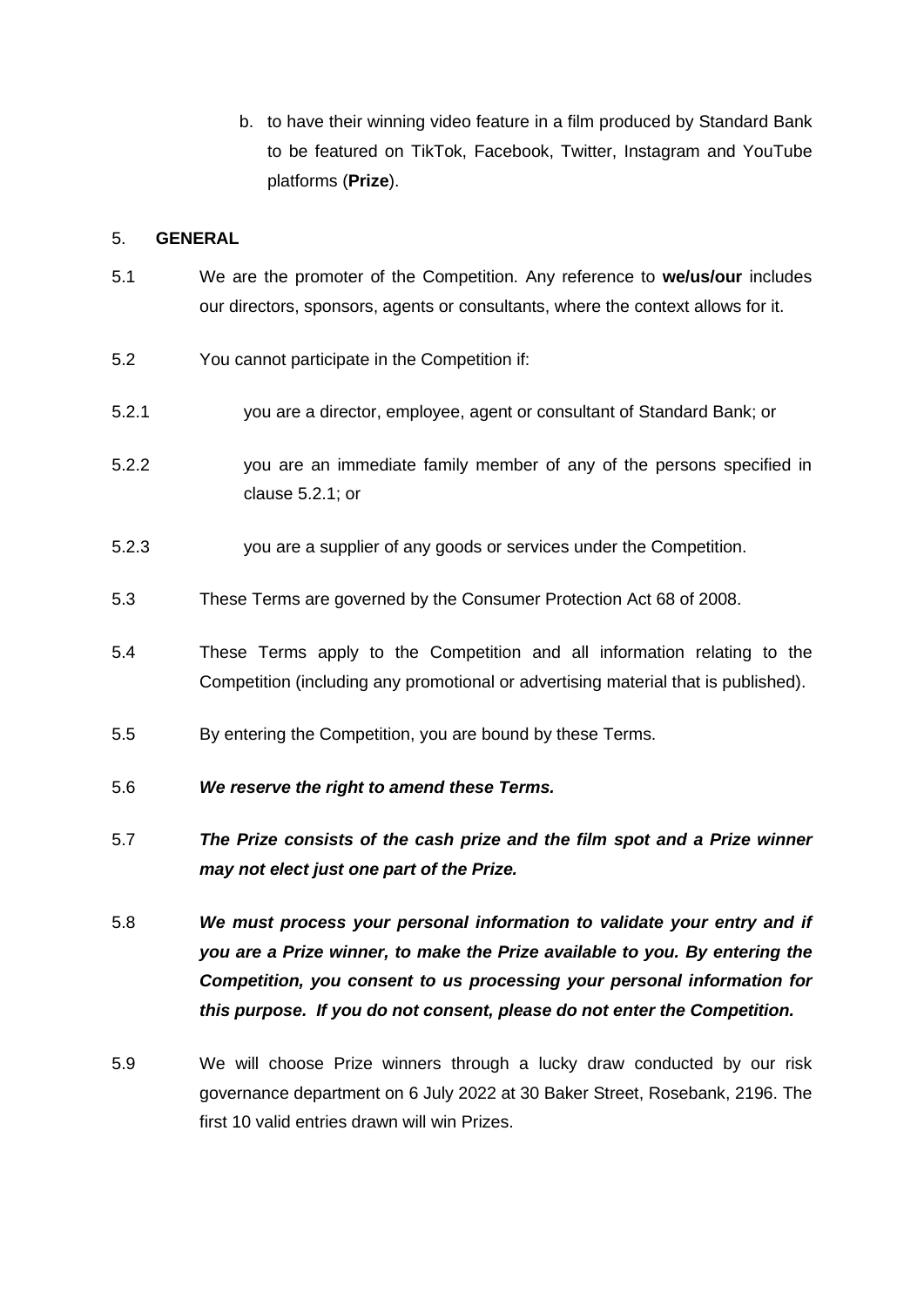b. to have their winning video feature in a film produced by Standard Bank to be featured on TikTok, Facebook, Twitter, Instagram and YouTube platforms (**Prize**).

#### 5. **GENERAL**

- 5.1 We are the promoter of the Competition. Any reference to **we/us/our** includes our directors, sponsors, agents or consultants, where the context allows for it.
- 5.2 You cannot participate in the Competition if:
- <span id="page-1-0"></span>5.2.1 you are a director, employee, agent or consultant of Standard Bank; or
- 5.2.2 you are an immediate family member of any of the persons specified in clause [5.2.1;](#page-1-0) or
- 5.2.3 you are a supplier of any goods or services under the Competition.
- 5.3 These Terms are governed by the Consumer Protection Act 68 of 2008.
- 5.4 These Terms apply to the Competition and all information relating to the Competition (including any promotional or advertising material that is published).
- 5.5 By entering the Competition, you are bound by these Terms.
- 5.6 *We reserve the right to amend these Terms.*
- 5.7 *The Prize consists of the cash prize and the film spot and a Prize winner may not elect just one part of the Prize.*
- 5.8 *We must process your personal information to validate your entry and if you are a Prize winner, to make the Prize available to you. By entering the Competition, you consent to us processing your personal information for this purpose. If you do not consent, please do not enter the Competition.*
- 5.9 We will choose Prize winners through a lucky draw conducted by our risk governance department on 6 July 2022 at 30 Baker Street, Rosebank, 2196. The first 10 valid entries drawn will win Prizes.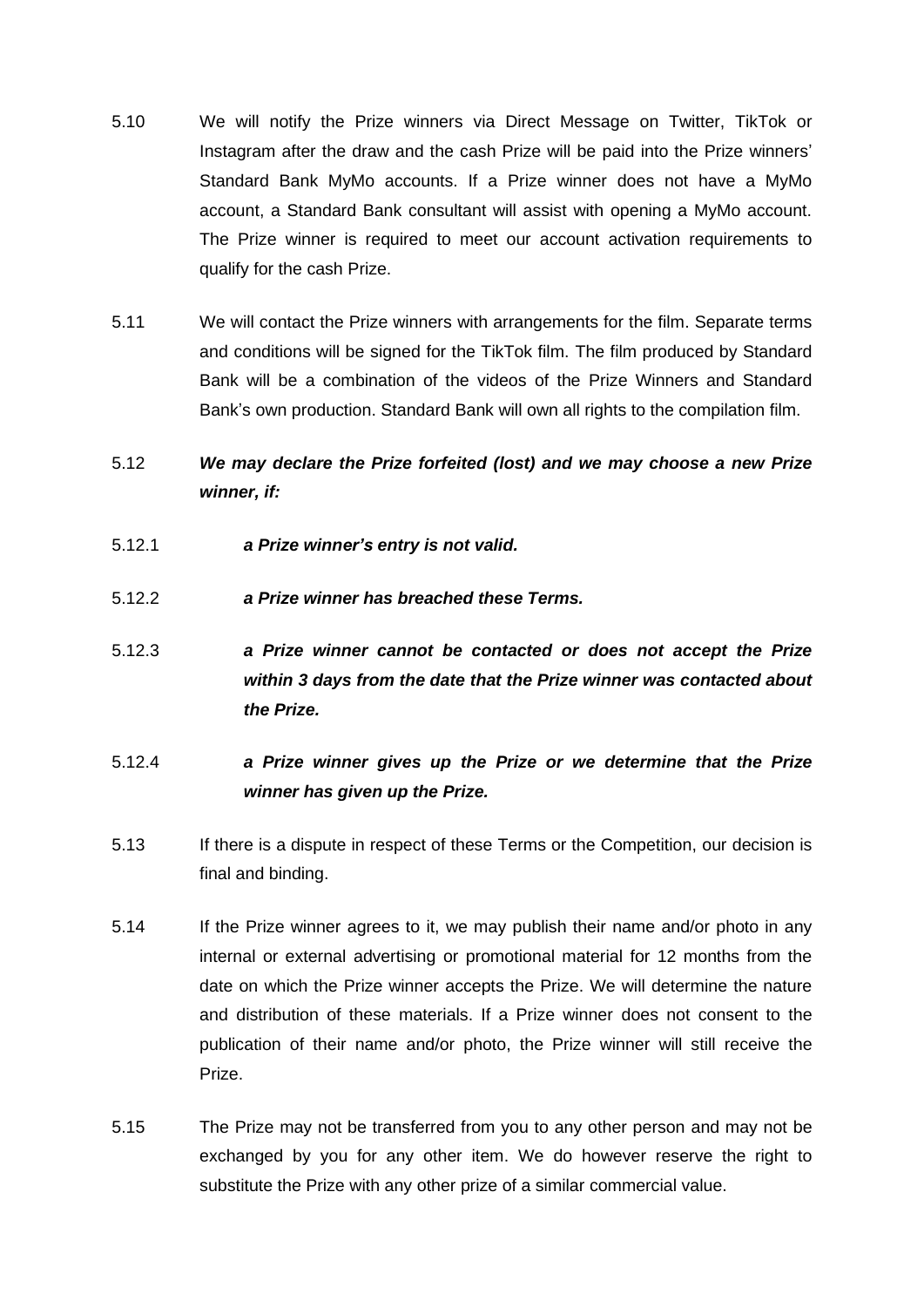- 5.10 We will notify the Prize winners via Direct Message on Twitter, TikTok or Instagram after the draw and the cash Prize will be paid into the Prize winners' Standard Bank MyMo accounts. If a Prize winner does not have a MyMo account, a Standard Bank consultant will assist with opening a MyMo account. The Prize winner is required to meet our account activation requirements to qualify for the cash Prize.
- 5.11 We will contact the Prize winners with arrangements for the film. Separate terms and conditions will be signed for the TikTok film. The film produced by Standard Bank will be a combination of the videos of the Prize Winners and Standard Bank's own production. Standard Bank will own all rights to the compilation film.
- 5.12 *We may declare the Prize forfeited (lost) and we may choose a new Prize winner, if:*
- 5.12.1 *a Prize winner's entry is not valid.*
- 5.12.2 *a Prize winner has breached these Terms.*
- 5.12.3 *a Prize winner cannot be contacted or does not accept the Prize within 3 days from the date that the Prize winner was contacted about the Prize.*
- 5.12.4 *a Prize winner gives up the Prize or we determine that the Prize winner has given up the Prize.*
- 5.13 If there is a dispute in respect of these Terms or the Competition, our decision is final and binding.
- 5.14 If the Prize winner agrees to it, we may publish their name and/or photo in any internal or external advertising or promotional material for 12 months from the date on which the Prize winner accepts the Prize. We will determine the nature and distribution of these materials. If a Prize winner does not consent to the publication of their name and/or photo, the Prize winner will still receive the Prize.
- 5.15 The Prize may not be transferred from you to any other person and may not be exchanged by you for any other item. We do however reserve the right to substitute the Prize with any other prize of a similar commercial value.